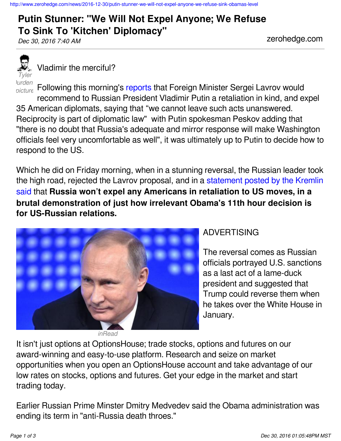## <http://www.zerohedge.com/news/2016-12-30/putin-stunner-we-will-not-expel-anyone-we-refuse-sink-obamas-level>

## **Putin Stunner: "We Will Not Expel Anyone; We Refuse To Sink To 'Kitchen' Diplomacy"** *Dec 30, 2016 7:40 AM* zerohedge.com

*Tyler Purden* 

Vladimir the merciful?

*picture* Following this morning's [reports](http://www.zerohedge.com/news/2016-12-30/russia-retaliates-expel-35-us-diplomats-after-us-sanctions) that Foreign Minister Sergei Lavrov would recommend to Russian President Vladimir Putin a retaliation in kind, and expel 35 American diplomats, saying that "we cannot leave such acts unanswered. Reciprocity is part of diplomatic law" with Putin spokesman Peskov adding that "there is no doubt that Russia's adequate and mirror response will make Washington officials feel very uncomfortable as well", it was ultimately up to Putin to decide how to respond to the US.

Which he did on Friday morning, when in a stunning reversal, the Russian leader took the high road, rejected the Lavrov proposal, and in a [statement posted by the Kremlin](http://kremlin.ru/events/president/news/53678) [said](http://kremlin.ru/events/president/news/53678) that **Russia won't expel any Americans in retaliation to US moves, in a brutal demonstration of just how irrelevant Obama's 11th hour decision is for US-Russian relations.**



*inRead*

## ADVERTISING

The reversal comes as Russian officials portrayed U.S. sanctions as a last act of a lame-duck president and suggested that Trump could reverse them when he takes over the White House in January.

It isn't just options at OptionsHouse; trade stocks, options and futures on our award-winning and easy-to-use platform. Research and seize on market opportunities when you open an OptionsHouse account and take advantage of our low rates on stocks, options and futures. Get your edge in the market and start trading today.

Earlier Russian Prime Minster Dmitry Medvedev said the Obama administration was ending its term in "anti-Russia death throes."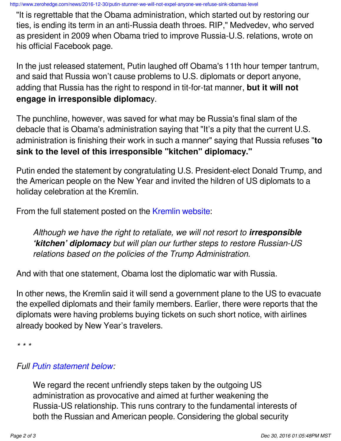<http://www.zerohedge.com/news/2016-12-30/putin-stunner-we-will-not-expel-anyone-we-refuse-sink-obamas-level>

"It is regrettable that the Obama administration, which started out by restoring our ties, is ending its term in an anti-Russia death throes. RIP," Medvedev, who served as president in 2009 when Obama tried to improve Russia-U.S. relations, wrote on his official Facebook page.

In the just released statement, Putin laughed off Obama's 11th hour temper tantrum, and said that Russia won't cause problems to U.S. diplomats or deport anyone, adding that Russia has the right to respond in tit-for-tat manner, **but it will not engage in irresponsible diplomac**y.

The punchline, however, was saved for what may be Russia's final slam of the debacle that is Obama's administration saying that "It's a pity that the current U.S. administration is finishing their work in such a manner" saying that Russia refuses "**to sink to the level of this irresponsible "kitchen" diplomacy."**

Putin ended the statement by congratulating U.S. President-elect Donald Trump, and the American people on the New Year and invited the hildren of US diplomats to a holiday celebration at the Kremlin.

From the full statement posted on the [Kremlin website](http://kremlin.ru/events/president/news/53678):

*Although we have the right to retaliate, we will not resort to irresponsible 'kitchen' diplomacy but will plan our further steps to restore Russian-US relations based on the policies of the Trump Administration.*

And with that one statement, Obama lost the diplomatic war with Russia.

In other news, the Kremlin said it will send a government plane to the US to evacuate the expelled diplomats and their family members. Earlier, there were reports that the diplomats were having problems buying tickets on such short notice, with airlines already booked by New Year's travelers.

*\* \* \**

## *Full [Putin statement below](http://en.kremlin.ru/events/president/news/53678):*

We regard the recent unfriendly steps taken by the outgoing US administration as provocative and aimed at further weakening the Russia-US relationship. This runs contrary to the fundamental interests of both the Russian and American people. Considering the global security